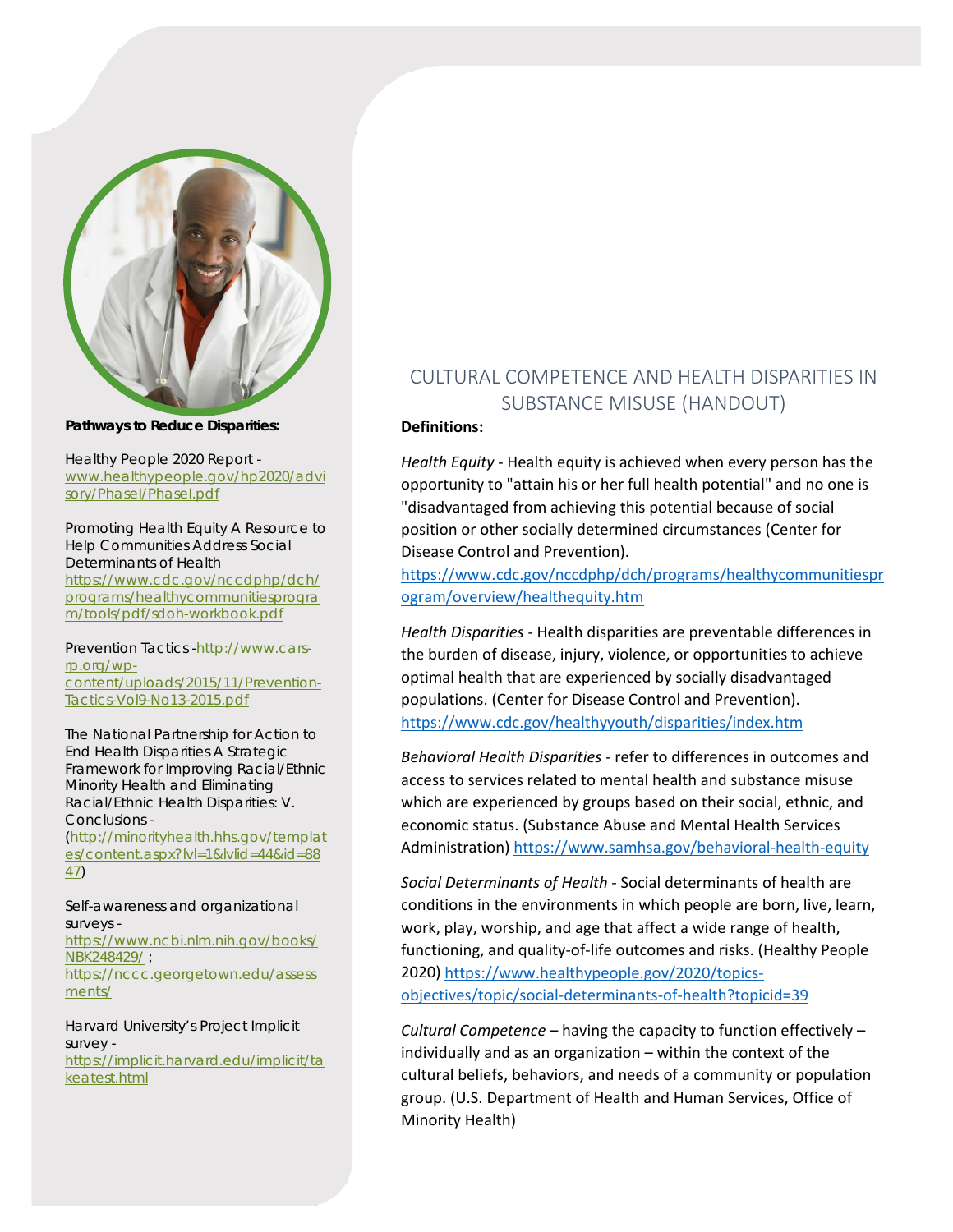

**Pathways to Reduce Disparities:** 

Healthy People 2020 Report [www.healthypeople.gov/hp2020/advi](http://www.healthypeople.gov/hp2020/advisory/PhaseI/PhaseI.pdf) [sory/PhaseI/PhaseI.pdf](http://www.healthypeople.gov/hp2020/advisory/PhaseI/PhaseI.pdf)

Promoting Health Equity A Resource to Help Communities Address Social Determinants of Health [https://www.cdc.gov/nccdphp/dch/](https://www.cdc.gov/nccdphp/dch/programs/healthycommunitiesprogram/tools/pdf/sdoh-workbook.pdf) [programs/healthycommunitiesprogra](https://www.cdc.gov/nccdphp/dch/programs/healthycommunitiesprogram/tools/pdf/sdoh-workbook.pdf) [m/tools/pdf/sdoh-workbook.pdf](https://www.cdc.gov/nccdphp/dch/programs/healthycommunitiesprogram/tools/pdf/sdoh-workbook.pdf)

Prevention Tactics [-http://www.cars](http://www.cars-rp.org/wp-content/uploads/2015/11/Prevention-Tactics-Vol9-No13-2015.pdf)[rp.org/wp](http://www.cars-rp.org/wp-content/uploads/2015/11/Prevention-Tactics-Vol9-No13-2015.pdf)[content/uploads/2015/11/Prevention-](http://www.cars-rp.org/wp-content/uploads/2015/11/Prevention-Tactics-Vol9-No13-2015.pdf)[Tactics-Vol9-No13-2015.pdf](http://www.cars-rp.org/wp-content/uploads/2015/11/Prevention-Tactics-Vol9-No13-2015.pdf)

The National Partnership for Action to End Health Disparities A Strategic Framework for Improving Racial/Ethnic Minority Health and Eliminating Racial/Ethnic Health Disparities: V. Conclusions - [\(http://minorityhealth.hhs.gov/templat](http://minorityhealth.hhs.gov/templates/content.aspx?lvl=1&lvlid=44&id=8847) [es/content.aspx?lvl=1&lvlid=44&id=88](http://minorityhealth.hhs.gov/templates/content.aspx?lvl=1&lvlid=44&id=8847) [47\)](http://minorityhealth.hhs.gov/templates/content.aspx?lvl=1&lvlid=44&id=8847)

Self-awareness and organizational surveys [https://www.ncbi.nlm.nih.gov/books/](https://www.ncbi.nlm.nih.gov/books/NBK248429/) [NBK248429/](https://www.ncbi.nlm.nih.gov/books/NBK248429/) ; [https://nccc.georgetown.edu/assess](https://nccc.georgetown.edu/assessments/) [ments/](https://nccc.georgetown.edu/assessments/)

Harvard University's Project Implicit survey [https://implicit.harvard.edu/implicit/ta](https://implicit.harvard.edu/implicit/takeatest.html) [keatest.html](https://implicit.harvard.edu/implicit/takeatest.html)

## CULTURAL COMPETENCE AND HEALTH DISPARITIES IN SUBSTANCE MISUSE (HANDOUT)

## **Definitions:**

*Health Equity* - Health equity is achieved when every person has the opportunity to "attain his or her full health potential" and no one is "disadvantaged from achieving this potential because of social position or other socially determined circumstances (Center for Disease Control and Prevention).

[https://www.cdc.gov/nccdphp/dch/programs/healthycommunitiespr](https://www.cdc.gov/nccdphp/dch/programs/healthycommunitiesprogram/overview/healthequity.htm) [ogram/overview/healthequity.htm](https://www.cdc.gov/nccdphp/dch/programs/healthycommunitiesprogram/overview/healthequity.htm)

*Health Disparities* - Health disparities are preventable differences in the burden of disease, injury, violence, or opportunities to achieve optimal health that are experienced by socially disadvantaged populations. (Center for Disease Control and Prevention). <https://www.cdc.gov/healthyyouth/disparities/index.htm>

*Behavioral Health Disparities* - refer to differences in outcomes and access to services related to mental health and substance misuse which are experienced by groups based on their social, ethnic, and economic status. (Substance Abuse and Mental Health Services Administration)<https://www.samhsa.gov/behavioral-health-equity>

*Social Determinants of Health -* Social determinants of health are conditions in the environments in which people are born, live, learn, work, play, worship, and age that affect a wide range of health, functioning, and quality-of-life outcomes and risks. (Healthy People 2020) [https://www.healthypeople.gov/2020/topics](https://www.healthypeople.gov/2020/topics-objectives/topic/social-determinants-of-health?topicid=39)[objectives/topic/social-determinants-of-health?topicid=39](https://www.healthypeople.gov/2020/topics-objectives/topic/social-determinants-of-health?topicid=39)

*Cultural Competence* – having the capacity to function effectively – individually and as an organization – within the context of the cultural beliefs, behaviors, and needs of a community or population group. (U.S. Department of Health and Human Services, Office of Minority Health)